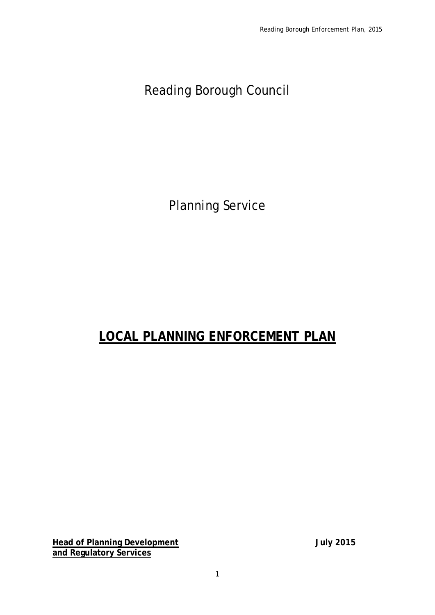Reading Borough Council

Planning Service

# **LOCAL PLANNING ENFORCEMENT PLAN**

**Head of Planning Development July 2015 and Regulatory Services**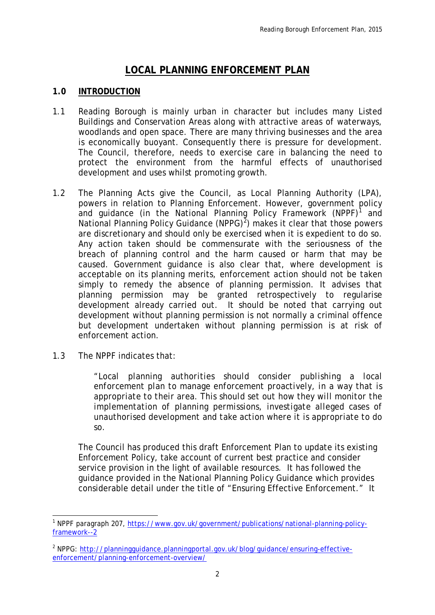### **LOCAL PLANNING ENFORCEMENT PLAN**

#### **1.0 INTRODUCTION**

- 1.1 Reading Borough is mainly urban in character but includes many Listed Buildings and Conservation Areas along with attractive areas of waterways, woodlands and open space. There are many thriving businesses and the area is economically buoyant. Consequently there is pressure for development. The Council, therefore, needs to exercise care in balancing the need to protect the environment from the harmful effects of unauthorised development and uses whilst promoting growth.
- 1.2 The Planning Acts give the Council, as Local Planning Authority (LPA), powers in relation to Planning Enforcement. However, government policy and guidance (in the National Planning Policy Framework  $(NPPF)^{1}$  $(NPPF)^{1}$  $(NPPF)^{1}$  and National Planning Policy Guidance (NPPG)<sup>[2](#page-1-1)</sup>) makes it clear that those powers are discretionary and should only be exercised when it is expedient to do so. Any action taken should be commensurate with the seriousness of the breach of planning control and the harm caused or harm that may be caused. Government guidance is also clear that, where development is acceptable on its planning merits, enforcement action should not be taken simply to remedy the absence of planning permission. It advises that planning permission may be granted retrospectively to regularise development already carried out. It should be noted that carrying out development without planning permission is not normally a criminal offence but development undertaken without planning permission is at risk of enforcement action.
- 1.3 The NPPF indicates that:

*"Local planning authorities should consider publishing a local enforcement plan to manage enforcement proactively, in a way that is appropriate to their area. This should set out how they will monitor the implementation of planning permissions, investigate alleged cases of unauthorised development and take action where it is appropriate to do so.* 

The Council has produced this draft Enforcement Plan to update its existing Enforcement Policy, take account of current best practice and consider service provision in the light of available resources. It has followed the guidance provided in the National Planning Policy Guidance which provides considerable detail under the title of "Ensuring Effective Enforcement." It

<span id="page-1-0"></span><sup>&</sup>lt;sup>1</sup> NPPF paragraph 207, [https://www.gov.uk/government/publications/national-planning-policy](https://www.gov.uk/government/publications/national-planning-policy-framework--2)[framework--2](https://www.gov.uk/government/publications/national-planning-policy-framework--2) -

<span id="page-1-1"></span><sup>&</sup>lt;sup>2</sup> NPPG: http://planningquidance.planningportal.gov.uk/blog/guidance/ensuring-effective[enforcement/planning-enforcement-overview/](http://planningguidance.planningportal.gov.uk/blog/guidance/ensuring-effective-enforcement/planning-enforcement-overview/)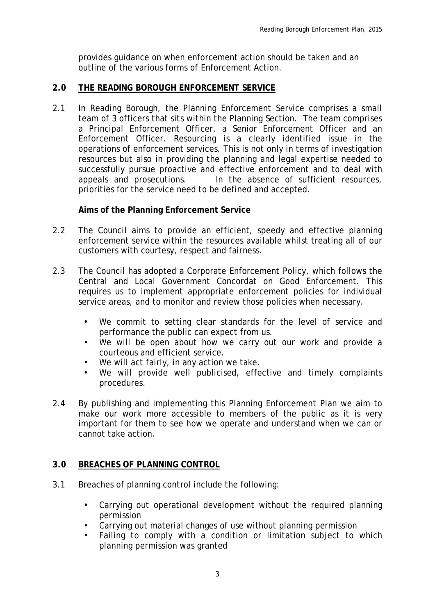provides guidance on when enforcement action should be taken and an outline of the various forms of Enforcement Action.

#### **2.0 THE READING BOROUGH ENFORCEMENT SERVICE**

2.1 In Reading Borough, the Planning Enforcement Service comprises a small team of 3 officers that sits within the Planning Section. The team comprises a Principal Enforcement Officer, a Senior Enforcement Officer and an Enforcement Officer. Resourcing is a clearly identified issue in the operations of enforcement services. This is not only in terms of investigation resources but also in providing the planning and legal expertise needed to successfully pursue proactive and effective enforcement and to deal with appeals and prosecutions. In the absence of sufficient resources, priorities for the service need to be defined and accepted.

#### **Aims of the Planning Enforcement Service**

- 2.2 The Council aims to provide an efficient, speedy and effective planning enforcement service within the resources available whilst treating all of our customers with courtesy, respect and fairness.
- 2.3 The Council has adopted a Corporate Enforcement Policy, which follows the Central and Local Government Concordat on Good Enforcement. This requires us to implement appropriate enforcement policies for individual service areas, and to monitor and review those policies when necessary.
	- We commit to setting clear standards for the level of service and performance the public can expect from us.
	- We will be open about how we carry out our work and provide a courteous and efficient service.
	- We will act fairly, in any action we take.
	- We will provide well publicised, effective and timely complaints procedures.
- 2.4 By publishing and implementing this Planning Enforcement Plan we aim to make our work more accessible to members of the public as it is very important for them to see how we operate and understand when we can or cannot take action.

### **3.0 BREACHES OF PLANNING CONTROL**

- 3.1 Breaches of planning control include the following:
	- Carrying out operational development without the required planning permission
	- Carrying out material changes of use without planning permission
	- Failing to comply with a condition or limitation subject to which planning permission was granted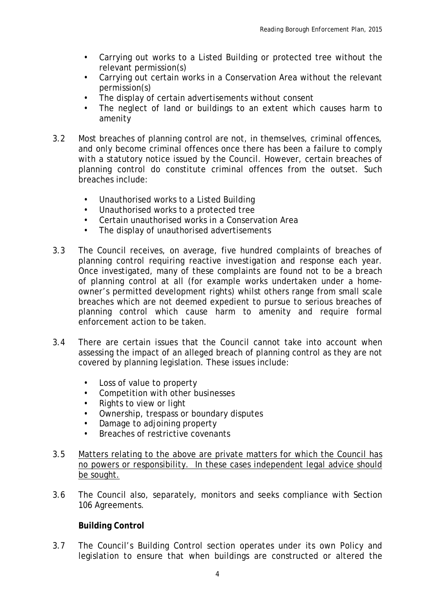- Carrying out works to a Listed Building or protected tree without the relevant permission(s)
- Carrying out certain works in a Conservation Area without the relevant permission(s)
- The display of certain advertisements without consent
- The neglect of land or buildings to an extent which causes harm to amenity
- 3.2 Most breaches of planning control are not, in themselves, criminal offences, and only become criminal offences once there has been a failure to comply with a statutory notice issued by the Council. However, certain breaches of planning control do constitute criminal offences from the outset. Such breaches include:
	- Unauthorised works to a Listed Building
	- Unauthorised works to a protected tree
	- Certain unauthorised works in a Conservation Area
	- The display of unauthorised advertisements
- 3.3 The Council receives, on average, five hundred complaints of breaches of planning control requiring reactive investigation and response each year. Once investigated, many of these complaints are found not to be a breach of planning control at all (for example works undertaken under a homeowner's permitted development rights) whilst others range from small scale breaches which are not deemed expedient to pursue to serious breaches of planning control which cause harm to amenity and require formal enforcement action to be taken.
- 3.4 There are certain issues that the Council cannot take into account when assessing the impact of an alleged breach of planning control as they are not covered by planning legislation. These issues include:
	- Loss of value to property
	- Competition with other businesses
	- Rights to view or light
	- Ownership, trespass or boundary disputes
	- Damage to adjoining property
	- Breaches of restrictive covenants
- 3.5 Matters relating to the above are private matters for which the Council has no powers or responsibility. In these cases independent legal advice should be sought.
- 3.6 The Council also, separately, monitors and seeks compliance with Section 106 Agreements.

#### **Building Control**

3.7 The Council's Building Control section operates under its own Policy and legislation to ensure that when buildings are constructed or altered the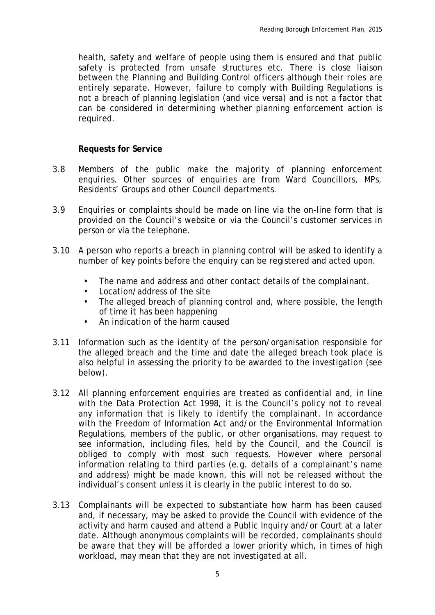health, safety and welfare of people using them is ensured and that public safety is protected from unsafe structures etc. There is close liaison between the Planning and Building Control officers although their roles are entirely separate. However, failure to comply with Building Regulations is not a breach of planning legislation (and vice versa) and is not a factor that can be considered in determining whether planning enforcement action is required.

#### **Requests for Service**

- 3.8 Members of the public make the majority of planning enforcement enquiries. Other sources of enquiries are from Ward Councillors, MPs, Residents' Groups and other Council departments.
- 3.9 Enquiries or complaints should be made on line via the on-line form that is provided on the Council's website or via the Council's customer services in person or via the telephone.
- 3.10 A person who reports a breach in planning control will be asked to identify a number of key points before the enquiry can be registered and acted upon.
	- The name and address and other contact details of the complainant.
	- Location/address of the site
	- The alleged breach of planning control and, where possible, the length of time it has been happening
	- An indication of the harm caused
- 3.11 Information such as the identity of the person/organisation responsible for the alleged breach and the time and date the alleged breach took place is also helpful in assessing the priority to be awarded to the investigation (see below).
- 3.12 All planning enforcement enquiries are treated as confidential and, in line with the Data Protection Act 1998, it is the Council's policy not to reveal any information that is likely to identify the complainant. In accordance with the Freedom of Information Act and/or the Environmental Information Regulations, members of the public, or other organisations, may request to see information, including files, held by the Council, and the Council is obliged to comply with most such requests. However where personal information relating to third parties (e.g. details of a complainant's name and address) might be made known, this will not be released without the individual's consent unless it is clearly in the public interest to do so.
- 3.13 Complainants will be expected to substantiate how harm has been caused and, if necessary, may be asked to provide the Council with evidence of the activity and harm caused and attend a Public Inquiry and/or Court at a later date. Although anonymous complaints will be recorded, complainants should be aware that they will be afforded a lower priority which, in times of high workload, may mean that they are not investigated at all.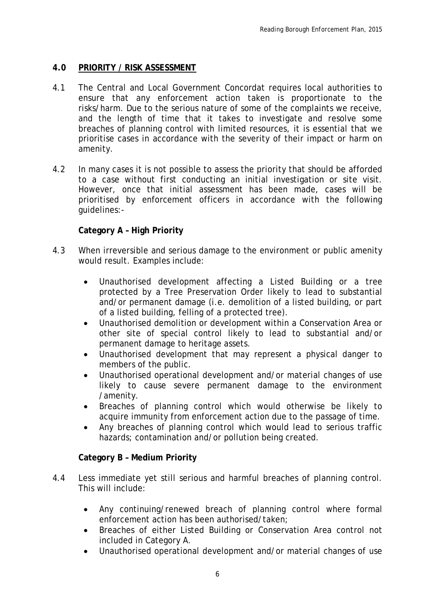#### **4.0 PRIORITY / RISK ASSESSMENT**

- 4.1 The Central and Local Government Concordat requires local authorities to ensure that any enforcement action taken is proportionate to the risks/harm. Due to the serious nature of some of the complaints we receive, and the length of time that it takes to investigate and resolve some breaches of planning control with limited resources, it is essential that we prioritise cases in accordance with the severity of their impact or harm on amenity.
- 4.2 In many cases it is not possible to assess the priority that should be afforded to a case without first conducting an initial investigation or site visit. However, once that initial assessment has been made, cases will be prioritised by enforcement officers in accordance with the following guidelines:-

#### **Category A – High Priority**

- 4.3 When irreversible and serious damage to the environment or public amenity would result. Examples include:
	- Unauthorised development affecting a Listed Building or a tree protected by a Tree Preservation Order likely to lead to substantial and/or permanent damage (i.e. demolition of a listed building, or part of a listed building, felling of a protected tree).
	- Unauthorised demolition or development within a Conservation Area or other site of special control likely to lead to substantial and/or permanent damage to heritage assets.
	- Unauthorised development that may represent a physical danger to members of the public.
	- Unauthorised operational development and/or material changes of use likely to cause severe permanent damage to the environment /amenity.
	- Breaches of planning control which would otherwise be likely to acquire immunity from enforcement action due to the passage of time.
	- Any breaches of planning control which would lead to serious traffic hazards; contamination and/or pollution being created.

#### **Category B – Medium Priority**

- 4.4 Less immediate yet still serious and harmful breaches of planning control. This will include:
	- Any continuing/renewed breach of planning control where formal enforcement action has been authorised/taken;
	- Breaches of either Listed Building or Conservation Area control not included in Category A.
	- Unauthorised operational development and/or material changes of use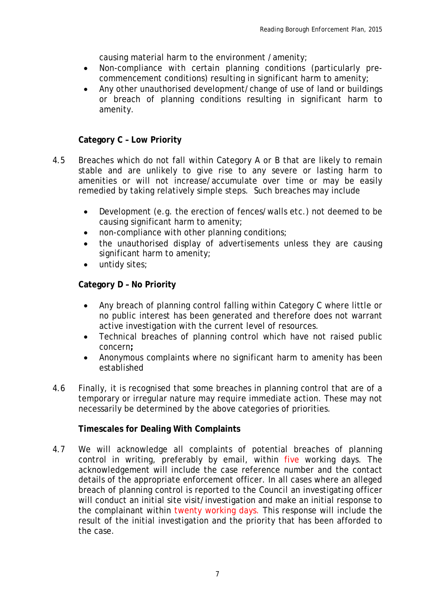causing material harm to the environment /amenity;

- Non-compliance with certain planning conditions (particularly precommencement conditions) resulting in significant harm to amenity;
- Any other unauthorised development/change of use of land or buildings or breach of planning conditions resulting in significant harm to amenity.

#### **Category C – Low Priority**

- 4.5 Breaches which do not fall within Category A or B that are likely to remain stable and are unlikely to give rise to any severe or lasting harm to amenities or will not increase/accumulate over time or may be easily remedied by taking relatively simple steps. Such breaches may include
	- Development (e.g. the erection of fences/walls etc.) not deemed to be causing significant harm to amenity;
	- non-compliance with other planning conditions;
	- the unauthorised display of advertisements unless they are causing significant harm to amenity;
	- untidy sites;

#### **Category D – No Priority**

- Any breach of planning control falling within Category C where little or no public interest has been generated and therefore does not warrant active investigation with the current level of resources.
- Technical breaches of planning control which have not raised public concern**;**
- Anonymous complaints where no significant harm to amenity has been established
- 4.6 Finally, it is recognised that some breaches in planning control that are of a temporary or irregular nature may require immediate action. These may not necessarily be determined by the above categories of priorities.

#### **Timescales for Dealing With Complaints**

4.7 We will acknowledge all complaints of potential breaches of planning control in writing, preferably by email, within five working days. The acknowledgement will include the case reference number and the contact details of the appropriate enforcement officer. In all cases where an alleged breach of planning control is reported to the Council an investigating officer will conduct an initial site visit/investigation and make an initial response to the complainant within twenty working days. This response will include the result of the initial investigation and the priority that has been afforded to the case.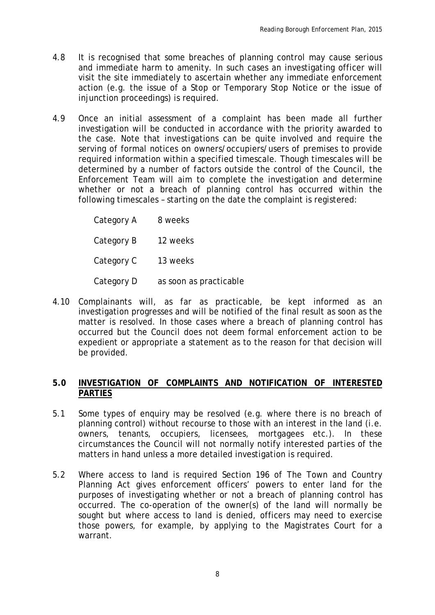- 4.8 It is recognised that some breaches of planning control may cause serious and immediate harm to amenity. In such cases an investigating officer will visit the site immediately to ascertain whether any immediate enforcement action (e.g. the issue of a Stop or Temporary Stop Notice or the issue of injunction proceedings) is required.
- 4.9 Once an initial assessment of a complaint has been made all further investigation will be conducted in accordance with the priority awarded to the case. Note that investigations can be quite involved and require the serving of formal notices on owners/occupiers/users of premises to provide required information within a specified timescale. Though timescales will be determined by a number of factors outside the control of the Council, the Enforcement Team will aim to complete the investigation and determine whether or not a breach of planning control has occurred within the following timescales – starting on the date the complaint is registered:

Category A 8 weeks Category B 12 weeks Category C 13 weeks Category D as soon as practicable

4.10 Complainants will, as far as practicable, be kept informed as an investigation progresses and will be notified of the final result as soon as the matter is resolved. In those cases where a breach of planning control has occurred but the Council does not deem formal enforcement action to be expedient or appropriate a statement as to the reason for that decision will be provided.

#### **5.0 INVESTIGATION OF COMPLAINTS AND NOTIFICATION OF INTERESTED PARTIES**

- 5.1 Some types of enquiry may be resolved (e.g. where there is no breach of planning control) without recourse to those with an interest in the land (i.e. owners, tenants, occupiers, licensees, mortgagees etc.). In these circumstances the Council will not normally notify interested parties of the matters in hand unless a more detailed investigation is required.
- 5.2 Where access to land is required Section 196 of The Town and Country Planning Act gives enforcement officers' powers to enter land for the purposes of investigating whether or not a breach of planning control has occurred. The co-operation of the owner(s) of the land will normally be sought but where access to land is denied, officers may need to exercise those powers, for example, by applying to the Magistrates Court for a warrant.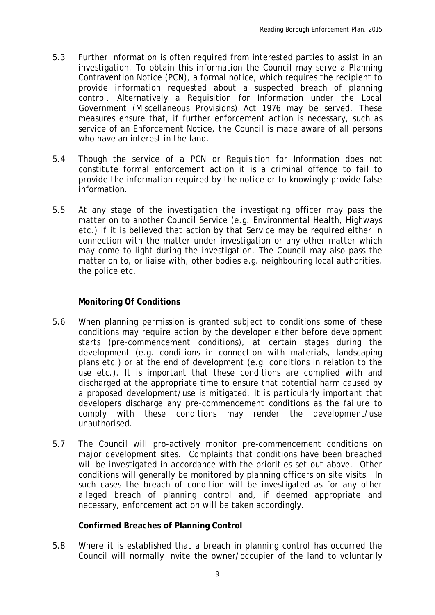- 5.3 Further information is often required from interested parties to assist in an investigation. To obtain this information the Council may serve a Planning Contravention Notice (PCN), a formal notice, which requires the recipient to provide information requested about a suspected breach of planning control. Alternatively a Requisition for Information under the Local Government (Miscellaneous Provisions) Act 1976 may be served. These measures ensure that, if further enforcement action is necessary, such as service of an Enforcement Notice, the Council is made aware of all persons who have an interest in the land.
- 5.4 Though the service of a PCN or Requisition for Information does not constitute formal enforcement action it is a criminal offence to fail to provide the information required by the notice or to knowingly provide false information.
- 5.5 At any stage of the investigation the investigating officer may pass the matter on to another Council Service (e.g. Environmental Health, Highways etc.) if it is believed that action by that Service may be required either in connection with the matter under investigation or any other matter which may come to light during the investigation. The Council may also pass the matter on to, or liaise with, other bodies e.g. neighbouring local authorities, the police etc.

#### **Monitoring Of Conditions**

- 5.6 When planning permission is granted subject to conditions some of these conditions may require action by the developer either before development starts (pre-commencement conditions), at certain stages during the development (e.g. conditions in connection with materials, landscaping plans etc.) or at the end of development (e.g. conditions in relation to the use etc.). It is important that these conditions are complied with and discharged at the appropriate time to ensure that potential harm caused by a proposed development/use is mitigated. It is particularly important that developers discharge any pre-commencement conditions as the failure to comply with these conditions may render the development/use unauthorised.
- 5.7 The Council will pro-actively monitor pre-commencement conditions on major development sites. Complaints that conditions have been breached will be investigated in accordance with the priorities set out above. Other conditions will generally be monitored by planning officers on site visits. In such cases the breach of condition will be investigated as for any other alleged breach of planning control and, if deemed appropriate and necessary, enforcement action will be taken accordingly.

#### **Confirmed Breaches of Planning Control**

5.8 Where it is established that a breach in planning control has occurred the Council will normally invite the owner/occupier of the land to voluntarily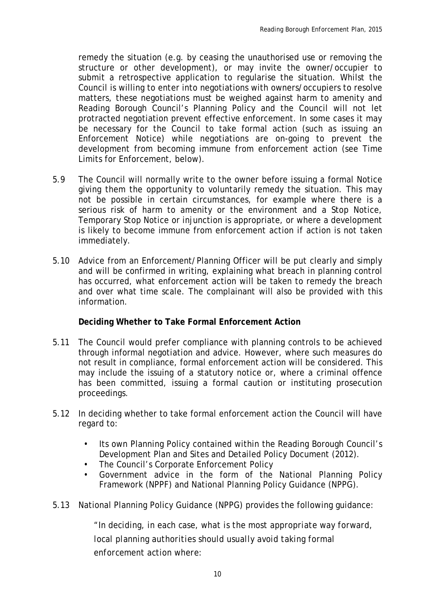remedy the situation (e.g. by ceasing the unauthorised use or removing the structure or other development), or may invite the owner/occupier to submit a retrospective application to regularise the situation. Whilst the Council is willing to enter into negotiations with owners/occupiers to resolve matters, these negotiations must be weighed against harm to amenity and Reading Borough Council's Planning Policy and the Council will not let protracted negotiation prevent effective enforcement. In some cases it may be necessary for the Council to take formal action (such as issuing an Enforcement Notice) while negotiations are on-going to prevent the development from becoming immune from enforcement action (see Time Limits for Enforcement, below).

- 5.9 The Council will normally write to the owner before issuing a formal Notice giving them the opportunity to voluntarily remedy the situation. This may not be possible in certain circumstances, for example where there is a serious risk of harm to amenity or the environment and a Stop Notice, Temporary Stop Notice or injunction is appropriate, or where a development is likely to become immune from enforcement action if action is not taken immediately.
- 5.10 Advice from an Enforcement/Planning Officer will be put clearly and simply and will be confirmed in writing, explaining what breach in planning control has occurred, what enforcement action will be taken to remedy the breach and over what time scale. The complainant will also be provided with this information.

#### **Deciding Whether to Take Formal Enforcement Action**

- 5.11 The Council would prefer compliance with planning controls to be achieved through informal negotiation and advice. However, where such measures do not result in compliance, formal enforcement action will be considered. This may include the issuing of a statutory notice or, where a criminal offence has been committed, issuing a formal caution or instituting prosecution proceedings.
- 5.12 In deciding whether to take formal enforcement action the Council will have regard to:
	- Its own Planning Policy contained within the Reading Borough Council's Development Plan and Sites and Detailed Policy Document (2012).
	- The Council's Corporate Enforcement Policy
	- Government advice in the form of the National Planning Policy Framework (NPPF) and National Planning Policy Guidance (NPPG).
- 5.13 National Planning Policy Guidance (NPPG) provides the following guidance:

*"In deciding, in each case, what is the most appropriate way forward, local planning authorities should usually avoid taking formal enforcement action where:*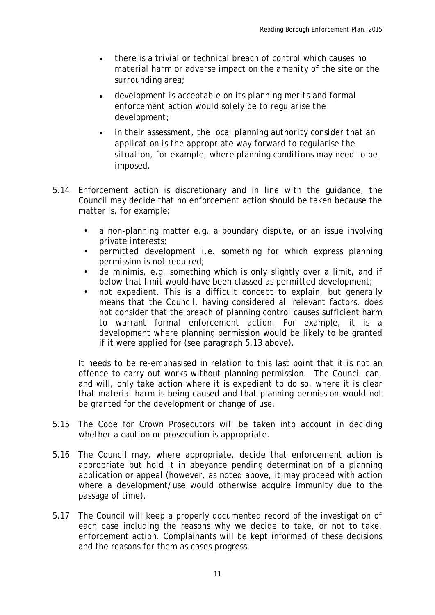- *there is a trivial or technical breach of control which causes no material harm or adverse impact on the amenity of the site or the surrounding area;*
- *development is acceptable on its planning merits and formal enforcement action would solely be to regularise the development;*
- *in their assessment, the local planning authority consider that an application is the appropriate way forward to regularise the situation, for example, where [planning conditions may need to be](http://planningguidance.planningportal.gov.uk/blog/guidance/use-of-planning-conditions/why-and-how-are-conditions-imposed/%23paragraph_001)  [imposed.](http://planningguidance.planningportal.gov.uk/blog/guidance/use-of-planning-conditions/why-and-how-are-conditions-imposed/%23paragraph_001)*
- 5.14 Enforcement action is discretionary and in line with the guidance, the Council may decide that no enforcement action should be taken because the matter is, for example:
	- a non-planning matter e.g. a boundary dispute, or an issue involving private interests;
	- permitted development i.e. something for which express planning permission is not required;
	- de minimis, e.g. something which is only slightly over a limit, and if below that limit would have been classed as permitted development;
	- not expedient. This is a difficult concept to explain, but generally means that the Council, having considered all relevant factors, does not consider that the breach of planning control causes sufficient harm to warrant formal enforcement action. For example, it is a development where planning permission would be likely to be granted if it were applied for (see paragraph 5.13 above).

It needs to be re-emphasised in relation to this last point that it is not an offence to carry out works without planning permission. The Council can, and will, only take action where it is expedient to do so, where it is clear that material harm is being caused and that planning permission would not be granted for the development or change of use.

- 5.15 The Code for Crown Prosecutors will be taken into account in deciding whether a caution or prosecution is appropriate.
- 5.16 The Council may, where appropriate, decide that enforcement action is appropriate but hold it in abeyance pending determination of a planning application or appeal (however, as noted above, it may proceed with action where a development/use would otherwise acquire immunity due to the passage of time).
- 5.17 The Council will keep a properly documented record of the investigation of each case including the reasons why we decide to take, or not to take, enforcement action. Complainants will be kept informed of these decisions and the reasons for them as cases progress.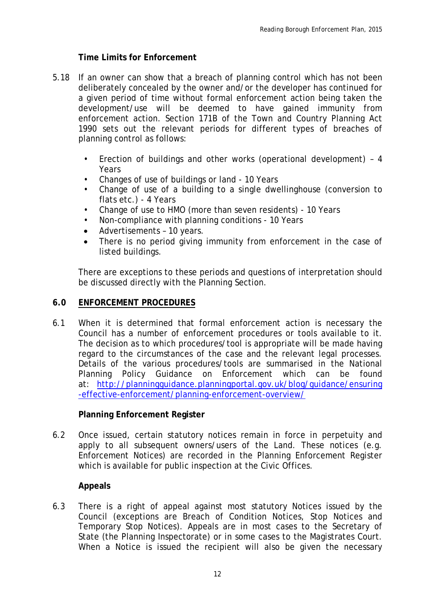#### **Time Limits for Enforcement**

- 5.18 If an owner can show that a breach of planning control which has not been deliberately concealed by the owner and/or the developer has continued for a given period of time without formal enforcement action being taken the development/use will be deemed to have gained immunity from enforcement action. Section 171B of the Town and Country Planning Act 1990 sets out the relevant periods for different types of breaches of planning control as follows:
	- Erection of buildings and other works (operational development) 4 Years
	- Changes of use of buildings or land 10 Years
	- Change of use of a building to a single dwellinghouse (conversion to flats etc.) - 4 Years
	- Change of use to HMO (more than seven residents) 10 Years
	- Non-compliance with planning conditions 10 Years
	- Advertisements 10 years.
	- There is no period giving immunity from enforcement in the case of listed buildings.

There are exceptions to these periods and questions of interpretation should be discussed directly with the Planning Section.

#### **6.0 ENFORCEMENT PROCEDURES**

6.1 When it is determined that formal enforcement action is necessary the Council has a number of enforcement procedures or tools available to it. The decision as to which procedures/tool is appropriate will be made having regard to the circumstances of the case and the relevant legal processes. Details of the various procedures/tools are summarised in the National Planning Policy Guidance on Enforcement which can be found at: [http://planningguidance.planningportal.gov.uk/blog/guidance/ensuring](http://planningguidance.planningportal.gov.uk/blog/guidance/ensuring-effective-enforcement/planning-enforcement-overview/) [-effective-enforcement/planning-enforcement-overview/](http://planningguidance.planningportal.gov.uk/blog/guidance/ensuring-effective-enforcement/planning-enforcement-overview/)

#### **Planning Enforcement Register**

6.2 Once issued, certain statutory notices remain in force in perpetuity and apply to all subsequent owners/users of the Land. These notices (e.g. Enforcement Notices) are recorded in the Planning Enforcement Register which is available for public inspection at the Civic Offices.

#### **Appeals**

6.3 There is a right of appeal against most statutory Notices issued by the Council (exceptions are Breach of Condition Notices, Stop Notices and Temporary Stop Notices). Appeals are in most cases to the Secretary of State (the Planning Inspectorate) or in some cases to the Magistrates Court. When a Notice is issued the recipient will also be given the necessary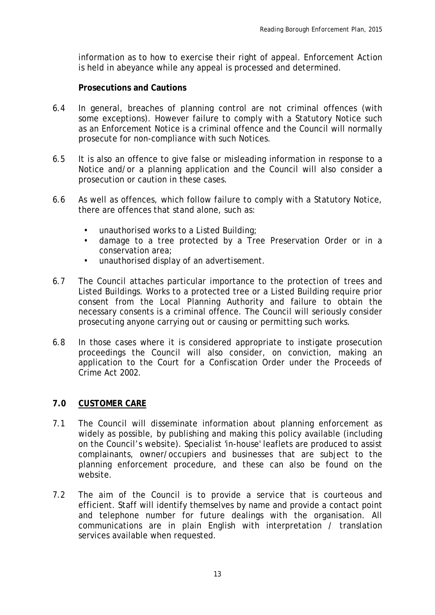information as to how to exercise their right of appeal. Enforcement Action is held in abeyance while any appeal is processed and determined.

#### **Prosecutions and Cautions**

- 6.4 In general, breaches of planning control are not criminal offences (with some exceptions). However failure to comply with a Statutory Notice such as an Enforcement Notice is a criminal offence and the Council will normally prosecute for non-compliance with such Notices.
- 6.5 It is also an offence to give false or misleading information in response to a Notice and/or a planning application and the Council will also consider a prosecution or caution in these cases.
- 6.6 As well as offences, which follow failure to comply with a Statutory Notice, there are offences that stand alone, such as:
	- unauthorised works to a Listed Building;
	- damage to a tree protected by a Tree Preservation Order or in a conservation area;
	- unauthorised display of an advertisement.
- 6.7 The Council attaches particular importance to the protection of trees and Listed Buildings. Works to a protected tree or a Listed Building require prior consent from the Local Planning Authority and failure to obtain the necessary consents is a criminal offence. The Council will seriously consider prosecuting anyone carrying out or causing or permitting such works.
- 6.8 In those cases where it is considered appropriate to instigate prosecution proceedings the Council will also consider, on conviction, making an application to the Court for a Confiscation Order under the Proceeds of Crime Act 2002.

#### **7.0 CUSTOMER CARE**

- 7.1 The Council will disseminate information about planning enforcement as widely as possible, by publishing and making this policy available (including on the Council's website). Specialist 'in-house' leaflets are produced to assist complainants, owner/occupiers and businesses that are subject to the planning enforcement procedure, and these can also be found on the website.
- 7.2 The aim of the Council is to provide a service that is courteous and efficient. Staff will identify themselves by name and provide a contact point and telephone number for future dealings with the organisation. All communications are in plain English with interpretation / translation services available when requested.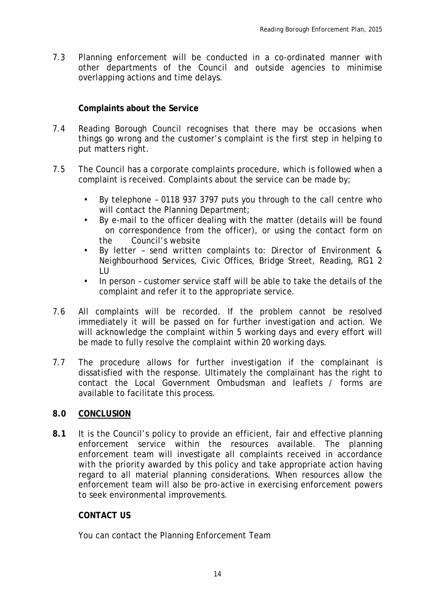7.3 Planning enforcement will be conducted in a co-ordinated manner with other departments of the Council and outside agencies to minimise overlapping actions and time delays.

### **Complaints about the Service**

- 7.4 Reading Borough Council recognises that there may be occasions when things go wrong and the customer's complaint is the first step in helping to put matters right.
- 7.5 The Council has a corporate complaints procedure, which is followed when a complaint is received. Complaints about the service can be made by;
	- By telephone 0118 937 3797 puts you through to the call centre who will contact the Planning Department;
	- By e-mail to the officer dealing with the matter (details will be found on correspondence from the officer), or using the contact form on the Council's website
	- By letter send written complaints to: Director of Environment & Neighbourhood Services, Civic Offices, Bridge Street, Reading, RG1 2 LU
	- In person customer service staff will be able to take the details of the complaint and refer it to the appropriate service.
- 7.6 All complaints will be recorded. If the problem cannot be resolved immediately it will be passed on for further investigation and action. We will acknowledge the complaint within 5 working days and every effort will be made to fully resolve the complaint within 20 working days.
- 7.7 The procedure allows for further investigation if the complainant is dissatisfied with the response. Ultimately the complainant has the right to contact the Local Government Ombudsman and leaflets / forms are available to facilitate this process.

#### **8.0 CONCLUSION**

**8.1** It is the Council's policy to provide an efficient, fair and effective planning enforcement service within the resources available. The planning enforcement team will investigate all complaints received in accordance with the priority awarded by this policy and take appropriate action having regard to all material planning considerations. When resources allow the enforcement team will also be pro-active in exercising enforcement powers to seek environmental improvements.

#### **CONTACT US**

You can contact the Planning Enforcement Team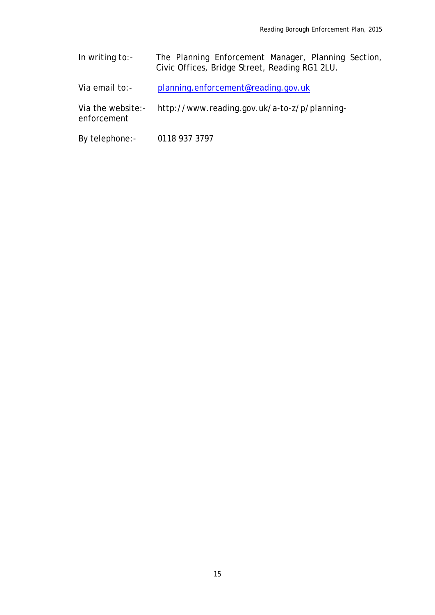- In writing to:- The Planning Enforcement Manager, Planning Section, Civic Offices, Bridge Street, Reading RG1 2LU.
- Via email to:- [planning.enforcement@reading.gov.uk](mailto:planning.enforcement@reading.gov.uk)
- Via the website:- http://www.reading.gov.uk/a-to-z/p/planningenforcement
- By telephone:- 0118 937 3797